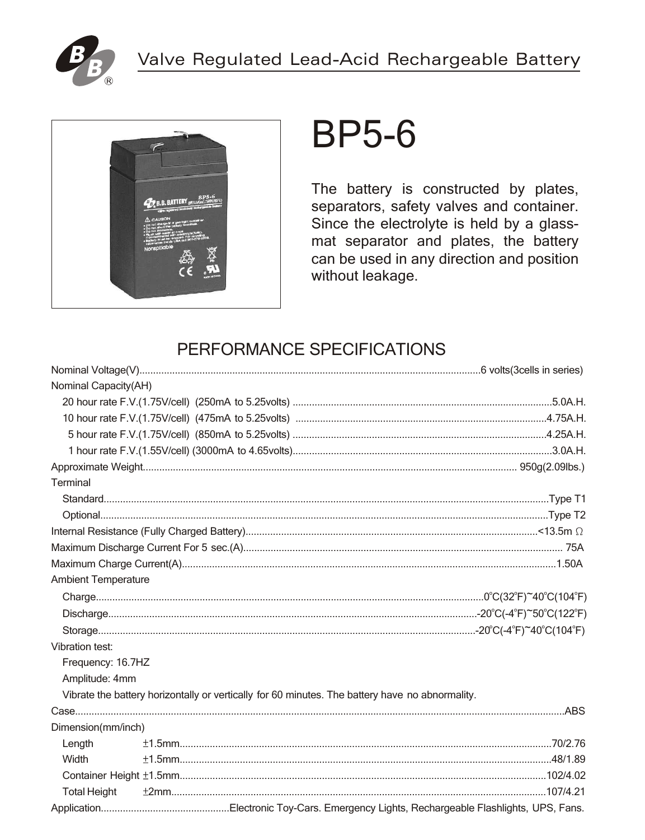



## **BP5-6**

The battery is constructed by plates, separators, safety valves and container. Since the electrolyte is held by a glassmat separator and plates, the battery can be used in any direction and position without leakage.

## PERFORMANCE SPECIFICATIONS

| Nominal Capacity(AH)       |  |                                                                                                 |  |
|----------------------------|--|-------------------------------------------------------------------------------------------------|--|
|                            |  |                                                                                                 |  |
|                            |  |                                                                                                 |  |
|                            |  |                                                                                                 |  |
|                            |  |                                                                                                 |  |
|                            |  |                                                                                                 |  |
| Terminal                   |  |                                                                                                 |  |
|                            |  |                                                                                                 |  |
|                            |  |                                                                                                 |  |
|                            |  |                                                                                                 |  |
|                            |  |                                                                                                 |  |
|                            |  |                                                                                                 |  |
| <b>Ambient Temperature</b> |  |                                                                                                 |  |
|                            |  |                                                                                                 |  |
|                            |  |                                                                                                 |  |
|                            |  |                                                                                                 |  |
| Vibration test:            |  |                                                                                                 |  |
| Frequency: 16.7HZ          |  |                                                                                                 |  |
| Amplitude: 4mm             |  |                                                                                                 |  |
|                            |  | Vibrate the battery horizontally or vertically for 60 minutes. The battery have no abnormality. |  |
|                            |  |                                                                                                 |  |
| Dimension(mm/inch)         |  |                                                                                                 |  |
| Length                     |  |                                                                                                 |  |
| Width                      |  |                                                                                                 |  |
|                            |  |                                                                                                 |  |
| <b>Total Height</b>        |  |                                                                                                 |  |
|                            |  |                                                                                                 |  |